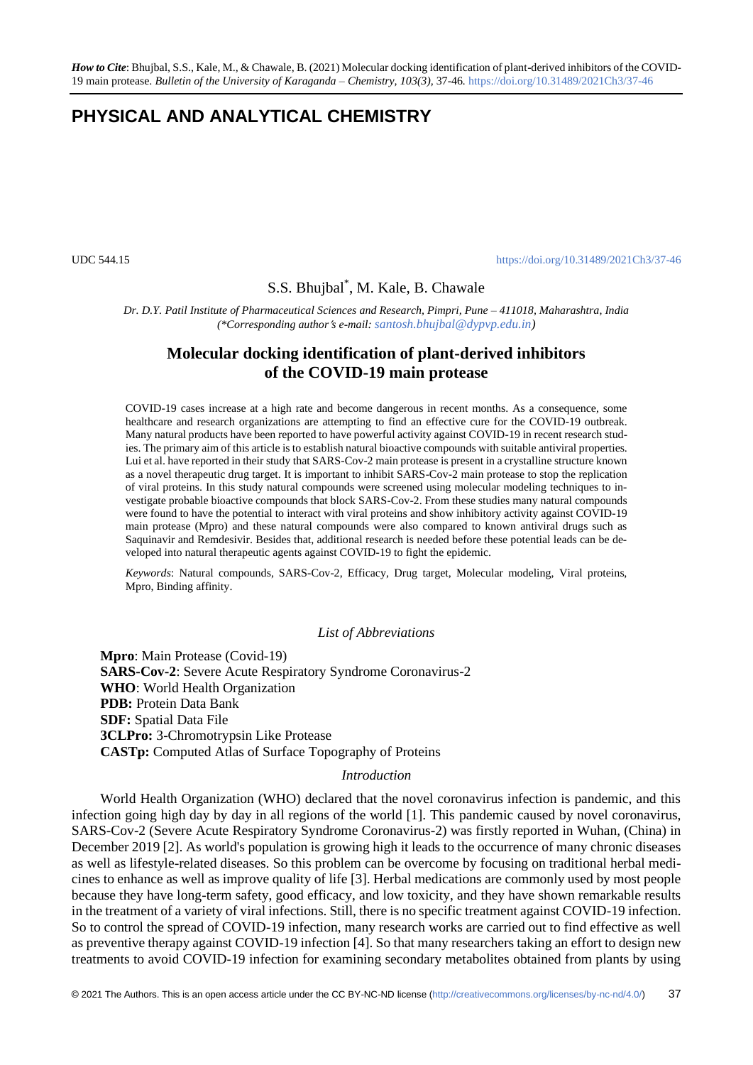# **PHYSICAL AND ANALYTICAL CHEMISTRY**

UDC 544.15 <https://doi.org/10.31489/2021Ch3/37-46>

## S.S. Bhujbal\* , M. Kale, B. Chawale

*Dr. D.Y. Patil Institute of Pharmaceutical Sciences and Research, Pimpri, Pune – 411018, Maharashtra, India (\*Corresponding authors e-mail: [santosh.bhujbal@dypvp.edu.in\)](mailto:santosh.bhujbal@dypvp.edu.in)*

## **Molecular docking identification of plant-derived inhibitors of the COVID-19 main protease**

COVID-19 cases increase at a high rate and become dangerous in recent months. As a consequence, some healthcare and research organizations are attempting to find an effective cure for the COVID-19 outbreak. Many natural products have been reported to have powerful activity against COVID-19 in recent research studies. The primary aim of this article is to establish natural bioactive compounds with suitable antiviral properties. Lui et al. have reported in their study that SARS-Cov-2 main protease is present in a crystalline structure known as a novel therapeutic drug target. It is important to inhibit SARS-Cov-2 main protease to stop the replication of viral proteins. In this study natural compounds were screened using molecular modeling techniques to investigate probable bioactive compounds that block SARS-Cov-2. From these studies many natural compounds were found to have the potential to interact with viral proteins and show inhibitory activity against COVID-19 main protease (Mpro) and these natural compounds were also compared to known antiviral drugs such as Saquinavir and Remdesivir. Besides that, additional research is needed before these potential leads can be developed into natural therapeutic agents against COVID-19 to fight the epidemic.

*Keywords*: Natural compounds, SARS-Cov-2, Efficacy, Drug target, Molecular modeling, Viral proteins, Mpro, Binding affinity.

#### *List of Abbreviations*

**Mpro**: Main Protease (Covid-19) **SARS-Cov-2**: Severe Acute Respiratory Syndrome Coronavirus-2 **WHO**: World Health Organization **PDB:** Protein Data Bank **SDF:** Spatial Data File **3CLPro:** 3-Chromotrypsin Like Protease **CASTp:** Computed Atlas of Surface Topography of Proteins

#### *Introduction*

World Health Organization (WHO) declared that the novel coronavirus infection is pandemic, and this infection going high day by day in all regions of the world [1]. This pandemic caused by novel coronavirus, SARS-Cov-2 (Severe Acute Respiratory Syndrome Coronavirus-2) was firstly reported in Wuhan, (China) in December 2019 [2]. As world's population is growing high it leads to the occurrence of many chronic diseases as well as lifestyle-related diseases. So this problem can be overcome by focusing on traditional herbal medicines to enhance as well as improve quality of life [3]. Herbal medications are commonly used by most people because they have long-term safety, good efficacy, and low toxicity, and they have shown remarkable results in the treatment of a variety of viral infections. Still, there is no specific treatment against COVID-19 infection. So to control the spread of COVID-19 infection, many research works are carried out to find effective as well as preventive therapy against COVID-19 infection [4]. So that many researchers taking an effort to design new treatments to avoid COVID-19 infection for examining secondary metabolites obtained from plants by using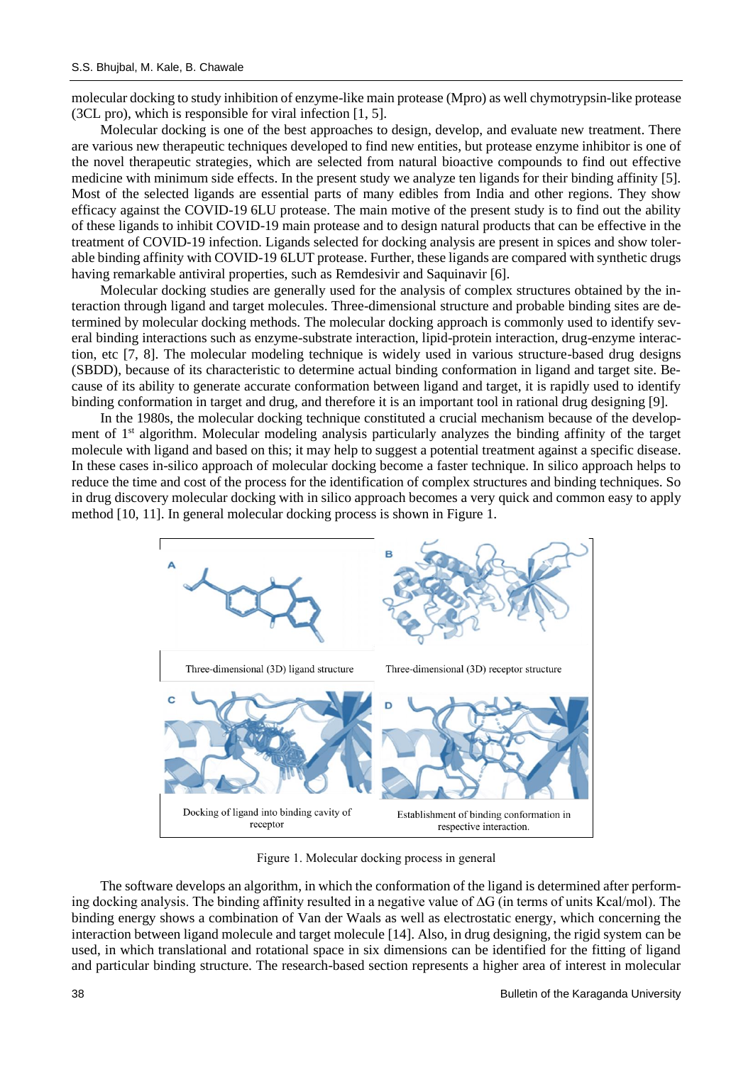molecular docking to study inhibition of enzyme-like main protease (Mpro) as well chymotrypsin-like protease (3CL pro), which is responsible for viral infection [1, 5].

Molecular docking is one of the best approaches to design, develop, and evaluate new treatment. There are various new therapeutic techniques developed to find new entities, but protease enzyme inhibitor is one of the novel therapeutic strategies, which are selected from natural bioactive compounds to find out effective medicine with minimum side effects. In the present study we analyze ten ligands for their binding affinity [5]. Most of the selected ligands are essential parts of many edibles from India and other regions. They show efficacy against the COVID-19 6LU protease. The main motive of the present study is to find out the ability of these ligands to inhibit COVID-19 main protease and to design natural products that can be effective in the treatment of COVID-19 infection. Ligands selected for docking analysis are present in spices and show tolerable binding affinity with COVID-19 6LUT protease. Further, these ligands are compared with synthetic drugs having remarkable antiviral properties, such as Remdesivir and Saquinavir [6].

Molecular docking studies are generally used for the analysis of complex structures obtained by the interaction through ligand and target molecules. Three-dimensional structure and probable binding sites are determined by molecular docking methods. The molecular docking approach is commonly used to identify several binding interactions such as enzyme-substrate interaction, lipid-protein interaction, drug-enzyme interaction, etc [7, 8]. The molecular modeling technique is widely used in various structure-based drug designs (SBDD), because of its characteristic to determine actual binding conformation in ligand and target site. Because of its ability to generate accurate conformation between ligand and target, it is rapidly used to identify binding conformation in target and drug, and therefore it is an important tool in rational drug designing [9].

In the 1980s, the molecular docking technique constituted a crucial mechanism because of the development of 1st algorithm. Molecular modeling analysis particularly analyzes the binding affinity of the target molecule with ligand and based on this; it may help to suggest a potential treatment against a specific disease. In these cases in-silico approach of molecular docking become a faster technique. In silico approach helps to reduce the time and cost of the process for the identification of complex structures and binding techniques. So in drug discovery molecular docking with in silico approach becomes a very quick and common easy to apply method [10, 11]. In general molecular docking process is shown in Figure 1.



Figure 1. Мolecular docking process in general

The software develops an algorithm, in which the conformation of the ligand is determined after performing docking analysis. The binding affinity resulted in a negative value of ∆G (in terms of units Kcal/mol). The binding energy shows a combination of Van der Waals as well as electrostatic energy, which concerning the interaction between ligand molecule and target molecule [14]. Also, in drug designing, the rigid system can be used, in which translational and rotational space in six dimensions can be identified for the fitting of ligand and particular binding structure. The research-based section represents a higher area of interest in molecular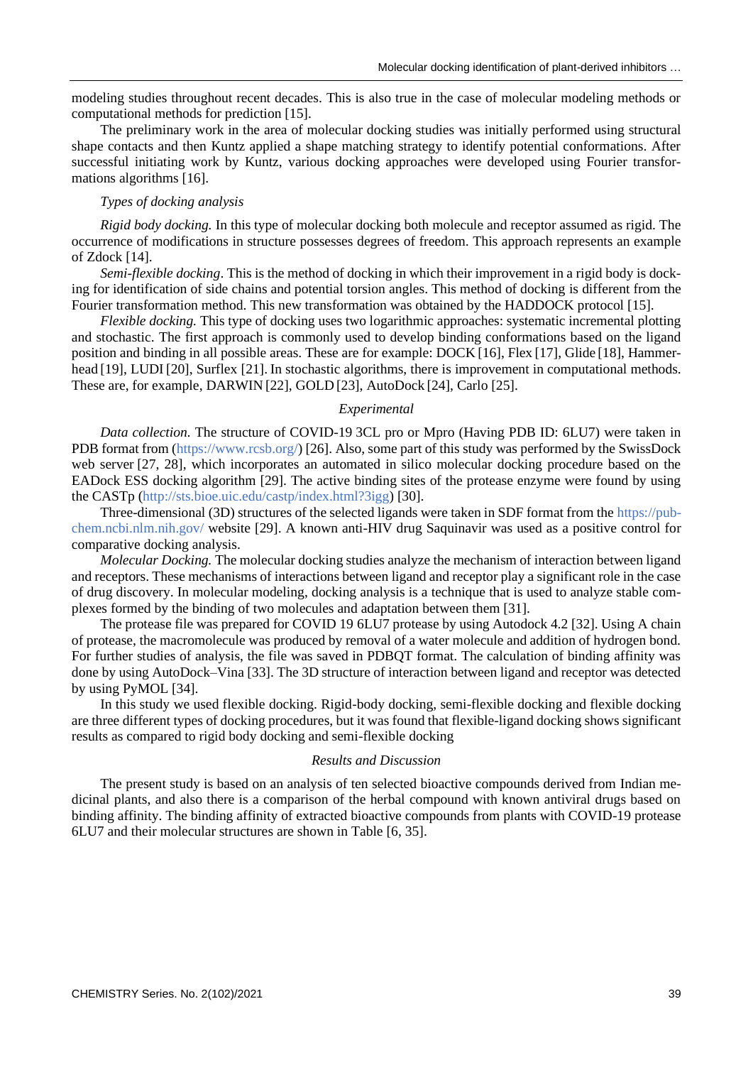modeling studies throughout recent decades. This is also true in the case of molecular modeling methods or computational methods for prediction [15].

The preliminary work in the area of molecular docking studies was initially performed using structural shape contacts and then Kuntz applied a shape matching strategy to identify potential conformations. After successful initiating work by Kuntz, various docking approaches were developed using Fourier transformations algorithms [16].

### *Types of docking analysis*

*Rigid body docking.* In this type of molecular docking both molecule and receptor assumed as rigid. The occurrence of modifications in structure possesses degrees of freedom. This approach represents an example of Zdock [14].

*Semi-flexible docking*. This is the method of docking in which their improvement in a rigid body is docking for identification of side chains and potential torsion angles. This method of docking is different from the Fourier transformation method. This new transformation was obtained by the HADDOCK protocol [15].

*Flexible docking.* This type of docking uses two logarithmic approaches: systematic incremental plotting and stochastic. The first approach is commonly used to develop binding conformations based on the ligand position and binding in all possible areas. These are for example: DOCK [16], Flex [17], Glide [18], Hammerhead [19], LUDI [20], Surflex [21]. In stochastic algorithms, there is improvement in computational methods. These are, for example, DARWIN [22], GOLD [23], AutoDock [24], Carlo [25].

### *Experimental*

*Data collection.* The structure of COVID-19 3CL pro or Mpro (Having PDB ID: 6LU7) were taken in PDB format from [\(https://www.rcsb.org/\)](https://www.rcsb.org/) [26]. Also, some part of this study was performed by the SwissDock web server [27, 28], which incorporates an automated in silico molecular docking procedure based on the EADock ESS docking algorithm [29]. The active binding sites of the protease enzyme were found by using the CASTp [\(http://sts.bioe.uic.edu/castp/index.html?3igg\)](http://sts.bioe.uic.edu/castp/index.html?3igg) [30].

Three-dimensional (3D) structures of the selected ligands were taken in SDF format from the [https://pub](https://pubchem.ncbi.nlm.nih.gov/)[chem.ncbi.nlm.nih.gov/](https://pubchem.ncbi.nlm.nih.gov/) website [29]. A known anti-HIV drug Saquinavir was used as a positive control for comparative docking analysis.

*Molecular Docking.* The molecular docking studies analyze the mechanism of interaction between ligand and receptors. These mechanisms of interactions between ligand and receptor play a significant role in the case of drug discovery. In molecular modeling, docking analysis is a technique that is used to analyze stable complexes formed by the binding of two molecules and adaptation between them [31].

The protease file was prepared for COVID 19 6LU7 protease by using Autodock 4.2 [32]. Using A chain of protease, the macromolecule was produced by removal of a water molecule and addition of hydrogen bond. For further studies of analysis, the file was saved in PDBQT format. The calculation of binding affinity was done by using AutoDock–Vina [33]. The 3D structure of interaction between ligand and receptor was detected by using PyMOL [34].

In this study we used flexible docking. Rigid-body docking, semi-flexible docking and flexible docking are three different types of docking procedures, but it was found that flexible-ligand docking shows significant results as compared to rigid body docking and semi-flexible docking

#### *Results and Discussion*

The present study is based on an analysis of ten selected bioactive compounds derived from Indian medicinal plants, and also there is a comparison of the herbal compound with known antiviral drugs based on binding affinity. The binding affinity of extracted bioactive compounds from plants with COVID-19 protease 6LU7 and their molecular structures are shown in Table [6, 35].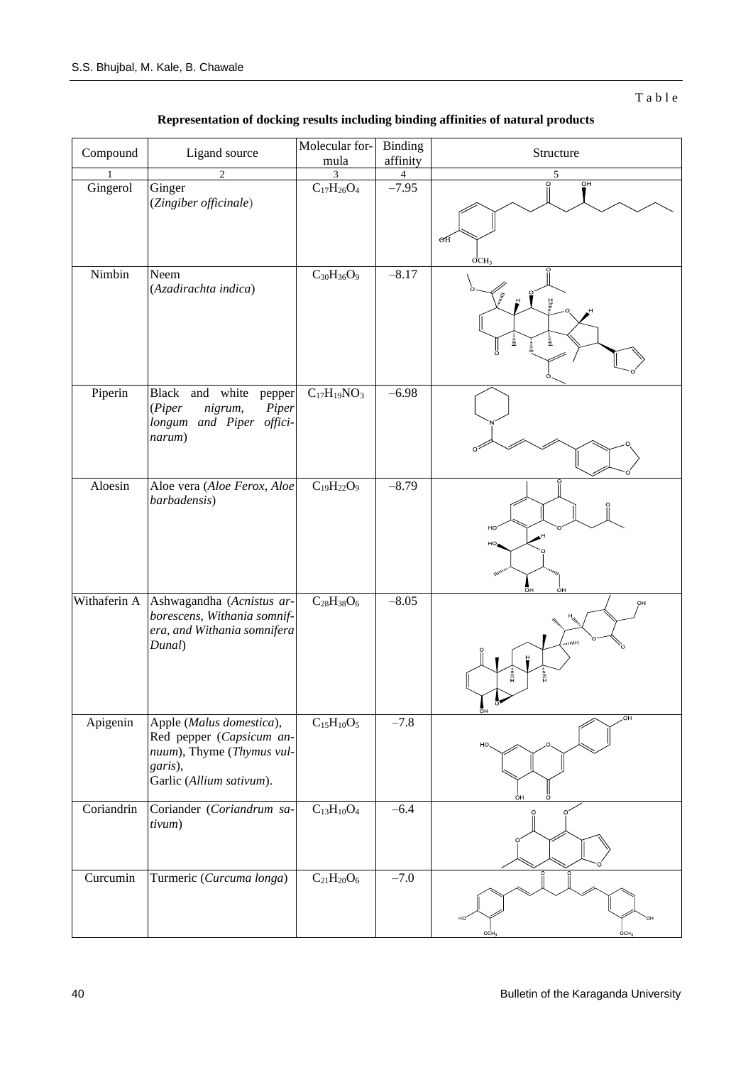T a b l e

| Representation of docking results including binding affinities of natural products |  |  |  |
|------------------------------------------------------------------------------------|--|--|--|
|                                                                                    |  |  |  |

| Compound   | Ligand source                          | Molecular for-<br>mula       | Binding<br>affinity | Structure                                        |
|------------|----------------------------------------|------------------------------|---------------------|--------------------------------------------------|
|            | 2                                      | 3                            | 4                   | 5<br>OH                                          |
| Gingerol   | Ginger<br>(Zingiber officinale)        | $C_{17}H_{26}O_4$            | $-7.95$             |                                                  |
|            |                                        |                              |                     |                                                  |
|            |                                        |                              |                     |                                                  |
|            |                                        |                              |                     | ΘĤ                                               |
|            |                                        |                              |                     | OCH <sub>3</sub>                                 |
| Nimbin     | Neem<br>(Azadirachta indica)           | $C_{30}H_{36}O_9$            | $-8.17$             |                                                  |
|            |                                        |                              |                     | ing<br>Santa<br><b>Hilin</b>                     |
|            |                                        |                              |                     |                                                  |
|            |                                        |                              |                     | $\mathsf{L}$<br>Ē                                |
|            |                                        |                              |                     |                                                  |
|            |                                        |                              |                     |                                                  |
| Piperin    | Black and<br>white<br>pepper           | $C_{17}H_{19}NO_3$           | $-6.98$             |                                                  |
|            | (Piper)<br>nigrum,<br>Piper            |                              |                     |                                                  |
|            | longum and Piper offici-               |                              |                     |                                                  |
|            | narum)                                 |                              |                     |                                                  |
|            |                                        |                              |                     |                                                  |
| Aloesin    | Aloe vera (Aloe Ferox, Aloe            | $C_{19}H_{22}O_9$            | $-8.79$             |                                                  |
|            | barbadensis)                           |                              |                     |                                                  |
|            |                                        |                              |                     |                                                  |
|            |                                        |                              |                     | HO<br>HO                                         |
|            |                                        |                              |                     |                                                  |
|            |                                        |                              |                     | mm                                               |
|            | Withaferin A Ashwagandha (Acnistus ar- | $C_{28}H_{38}O_6$            | $-8.05$             | Ġн                                               |
|            | borescens, Withania somnif-            |                              |                     | OН<br>$\mathbf{H}_{\mathbf{Z}_{\mathbf{Z}_{p}}}$ |
|            | era, and Withania somnifera            |                              |                     |                                                  |
|            | Dunal)                                 |                              |                     | $Hm_{II}$                                        |
|            |                                        |                              |                     |                                                  |
|            |                                        |                              |                     | 흞<br>$\frac{1}{H}$                               |
|            |                                        |                              |                     | $\sum_{\cup}$<br>$\circ$                         |
| Apigenin   | Apple (Malus domestica),               | $C_{15}H_{10}O_5$            | $-7.8$              | OH                                               |
|            | Red pepper (Capsicum an-               |                              |                     | HO.                                              |
|            | nuum), Thyme (Thymus vul-<br>garis),   |                              |                     |                                                  |
|            | Garlic (Allium sativum).               |                              |                     |                                                  |
|            |                                        |                              |                     |                                                  |
| Coriandrin | Coriander (Coriandrum sa-              | $C_{13}H_{10}O_4$            | $-6.4$              |                                                  |
|            | tivum)                                 |                              |                     |                                                  |
|            |                                        |                              |                     |                                                  |
| Curcumin   | Turmeric (Curcuma longa)               | $\overline{C_{21}H}_{20}O_6$ | $-7.0$              |                                                  |
|            |                                        |                              |                     |                                                  |
|            |                                        |                              |                     |                                                  |
|            |                                        |                              |                     |                                                  |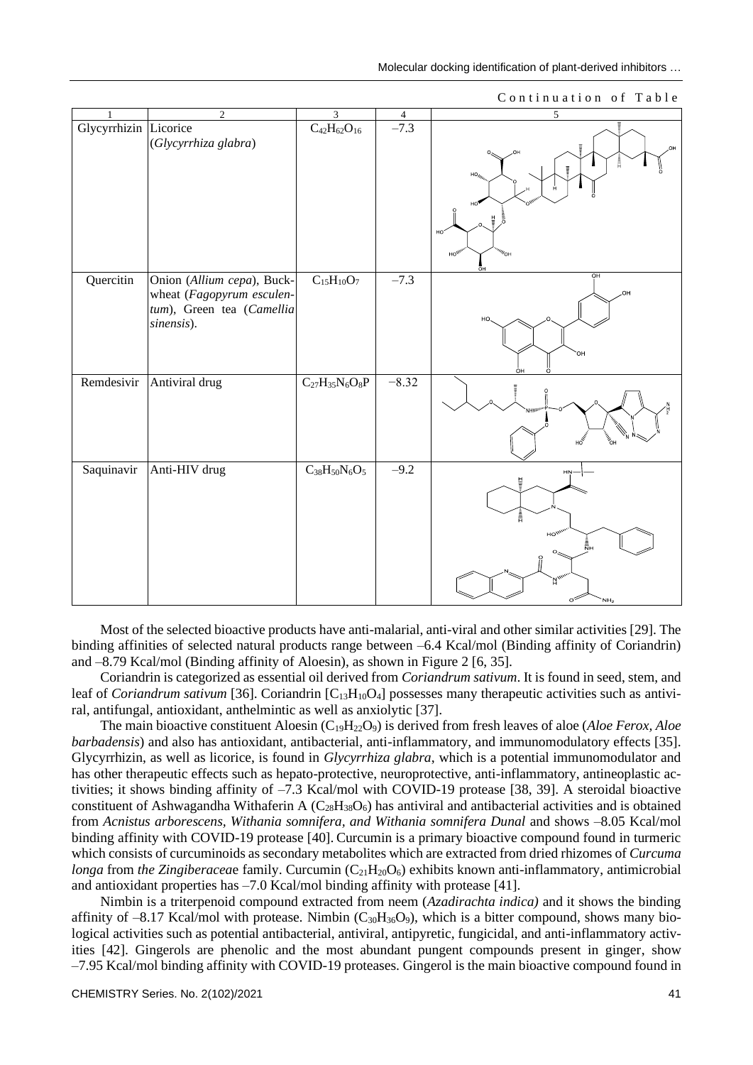Continuation of Table

|                       | $\overline{2}$             | $\overline{\mathbf{3}}$ | $\overline{4}$ | $\overline{5}$                          |
|-----------------------|----------------------------|-------------------------|----------------|-----------------------------------------|
|                       |                            |                         |                |                                         |
| Glycyrrhizin Licorice |                            | $C_{42}H_{62}O_{16}$    | $-7.3$         |                                         |
|                       | (Glycyrrhiza glabra)       |                         |                | Ţ<br>HO,<br>OH                          |
|                       |                            |                         |                | 言                                       |
|                       |                            |                         |                | Ţ<br>$HO_{H_{H_2}}$                     |
|                       |                            |                         |                | Ĥ                                       |
|                       |                            |                         |                |                                         |
|                       |                            |                         |                | 言<br>5                                  |
|                       |                            |                         |                | HO <sup>-</sup>                         |
|                       |                            |                         |                |                                         |
|                       |                            |                         |                | $\omega_{\text{OH}}$<br>$HO_{Hm}$       |
|                       |                            |                         |                |                                         |
| Quercitin             | Onion (Allium cepa), Buck- | $C_{15}H_{10}O_7$       | $-7.3$         | OH                                      |
|                       | wheat (Fagopyrum esculen-  |                         |                | HO.                                     |
|                       | tum), Green tea (Camellia  |                         |                |                                         |
|                       | sinensis).                 |                         |                | HO,                                     |
|                       |                            |                         |                |                                         |
|                       |                            |                         |                | OН                                      |
|                       |                            |                         |                |                                         |
| Remdesivir            | Antiviral drug             | $C_{27}H_{35}N_6O_8P$   | $-8.32$        | ÒН                                      |
|                       |                            |                         |                |                                         |
|                       |                            |                         |                |                                         |
|                       |                            |                         |                | inni (                                  |
|                       |                            |                         |                |                                         |
|                       |                            |                         |                | <b>INSTALLATION</b><br>HO <sup>NN</sup> |
|                       |                            |                         |                |                                         |
| Saquinavir            | Anti-HIV drug              | $C_{38}H_{50}N_6O_5$    | $-9.2$         | HŅ                                      |
|                       |                            |                         |                | Ë                                       |
|                       |                            |                         |                |                                         |
|                       |                            |                         |                | 틆                                       |
|                       |                            |                         |                | $HOM_{\mu\nu}$                          |
|                       |                            |                         |                | $\frac{1}{\overline{N}}$ H              |
|                       |                            |                         |                |                                         |
|                       |                            |                         |                |                                         |
|                       |                            |                         |                | $\mathbb{H}_{m}$                        |
|                       |                            |                         |                | ਾਂ<br>NH <sub>2</sub>                   |

Most of the selected bioactive products have anti-malarial, anti-viral and other similar activities [29]. The binding affinities of selected natural products range between –6.4 Kcal/mol (Binding affinity of Coriandrin) and –8.79 Kcal/mol (Binding affinity of Aloesin), as shown in Figure 2 [6, 35].

Coriandrin is categorized as essential oil derived from *Coriandrum sativum*. It is found in seed, stem, and leaf of *Coriandrum sativum* [36]. Coriandrin [C<sub>13</sub>H<sub>10</sub>O<sub>4</sub>] possesses many therapeutic activities such as antiviral, antifungal, antioxidant, anthelmintic as well as anxiolytic [37].

The main bioactive constituent Aloesin (C19H22O9) is derived from fresh leaves of aloe (*Aloe Ferox, Aloe barbadensis*) and also has antioxidant, antibacterial, anti-inflammatory, and immunomodulatory effects [35]. Glycyrrhizin, as well as licorice, is found in *Glycyrrhiza glabra*, which is a potential immunomodulator and has other therapeutic effects such as hepato-protective, neuroprotective, anti-inflammatory, antineoplastic activities; it shows binding affinity of –7.3 Kcal/mol with COVID-19 protease [38, 39]. A steroidal bioactive constituent of Ashwagandha Withaferin A  $(C_{28}H_{38}O_6)$  has antiviral and antibacterial activities and is obtained from *Acnistus arborescens, Withania somnifera, and Withania somnifera Dunal* and shows -8.05 Kcal/mol binding affinity with COVID-19 protease [40]. Curcumin is a primary bioactive compound found in turmeric which consists of curcuminoids as secondary metabolites which are extracted from dried rhizomes of *Curcuma longa* from *the Zingiberaceae* family. Curcumin (C<sub>21</sub>H<sub>20</sub>O<sub>6</sub>) exhibits known anti-inflammatory, antimicrobial and antioxidant properties has –7.0 Kcal/mol binding affinity with protease [41].

Nimbin is a triterpenoid compound extracted from neem (*Azadirachta indica)* and it shows the binding affinity of  $-8.17$  Kcal/mol with protease. Nimbin  $(C_{30}H_{36}O_9)$ , which is a bitter compound, shows many biological activities such as potential antibacterial, antiviral, antipyretic, fungicidal, and anti-inflammatory activities [42]. Gingerols are phenolic and the most abundant pungent compounds present in ginger, show –7.95 Kcal/mol binding affinity with COVID-19 proteases. Gingerol is the main bioactive compound found in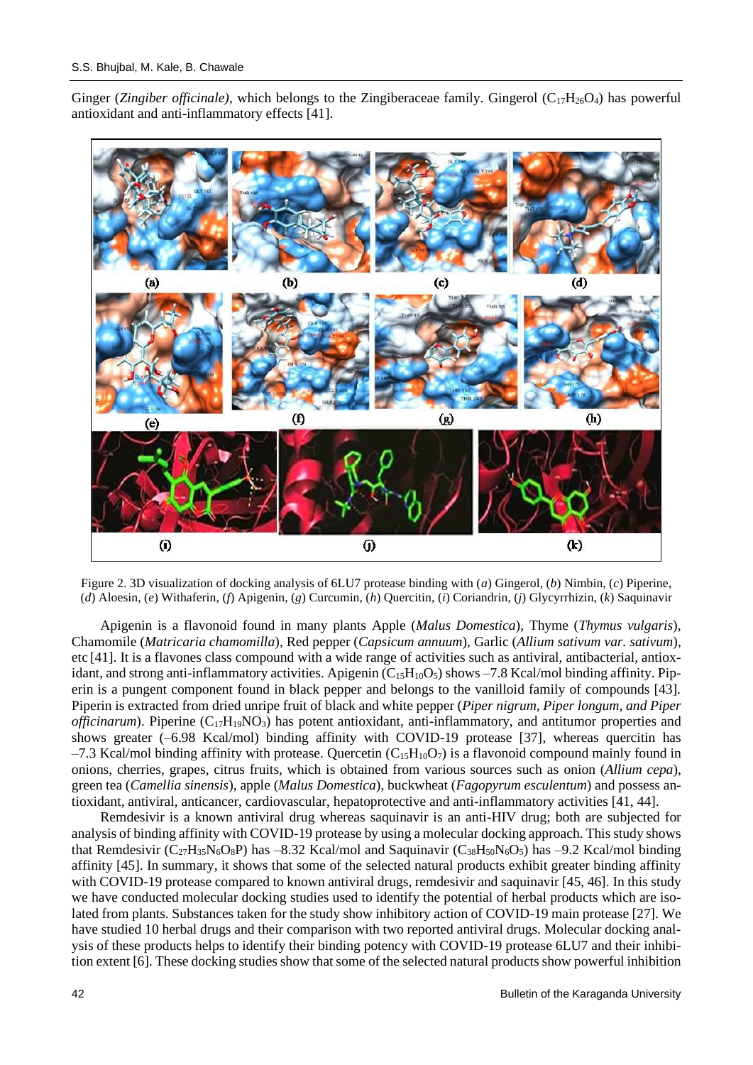Ginger (*Zingiber officinale*), which belongs to the Zingiberaceae family. Gingerol (C<sub>17</sub>H<sub>26</sub>O<sub>4</sub>) has powerful antioxidant and anti-inflammatory effects [41].



Figure 2. 3D visualization of docking analysis of 6LU7 protease binding with (*a*) Gingerol, (*b*) Nimbin, (*c*) Piperine, (*d*) Aloesin, (*e*) Withaferin, (*f*) Apigenin, (*g*) Curcumin, (*h*) Quercitin, (*i*) Coriandrin, (*j*) Glycyrrhizin, (*k*) Saquinavir

Apigenin is a flavonoid found in many plants Apple (*Malus Domestica*), Thyme (*Thymus vulgaris*), Chamomile (*Matricaria chamomilla*), Red pepper (*Capsicum annuum*), Garlic (*Allium sativum var. sativum*), etc [41]. It is a flavones class compound with a wide range of activities such as antiviral, antibacterial, antioxidant, and strong anti-inflammatory activities. Apigenin  $(C_{15}H_{10}O_5)$  shows  $-7.8$  Kcal/mol binding affinity. Piperin is a pungent component found in black pepper and belongs to the vanilloid family of compounds [43]. Piperin is extracted from dried unripe fruit of black and white pepper (*Piper nigrum, Piper longum, and Piper officinarum*). Piperine  $(C_{17}H_{19}NO_3)$  has potent antioxidant, anti-inflammatory, and antitumor properties and shows greater (–6.98 Kcal/mol) binding affinity with COVID-19 protease [37], whereas quercitin has  $-7.3$  Kcal/mol binding affinity with protease. Quercetin (C<sub>15</sub>H<sub>10</sub>O<sub>7</sub>) is a flavonoid compound mainly found in onions, cherries, grapes, citrus fruits, which is obtained from various sources such as onion (*Allium cepa*), green tea (*Camellia sinensis*), apple (*Malus Domestica*), buckwheat (*Fagopyrum esculentum*) and possess antioxidant, antiviral, anticancer, cardiovascular, hepatoprotective and anti-inflammatory activities [41, 44].

Remdesivir is a known antiviral drug whereas saquinavir is an anti-HIV drug; both are subjected for analysis of binding affinity with COVID-19 protease by using a molecular docking approach. This study shows that Remdesivir ( $C_{27}H_{35}N_6O_8P$ ) has  $-8.32$  Kcal/mol and Saquinavir ( $C_{38}H_{50}N_6O_5$ ) has  $-9.2$  Kcal/mol binding affinity [45]. In summary, it shows that some of the selected natural products exhibit greater binding affinity with COVID-19 protease compared to known antiviral drugs, remdesivir and saquinavir [45, 46]. In this study we have conducted molecular docking studies used to identify the potential of herbal products which are isolated from plants. Substances taken for the study show inhibitory action of COVID-19 main protease [27]. We have studied 10 herbal drugs and their comparison with two reported antiviral drugs. Molecular docking analysis of these products helps to identify their binding potency with COVID-19 protease 6LU7 and their inhibition extent [6]. These docking studies show that some of the selected natural products show powerful inhibition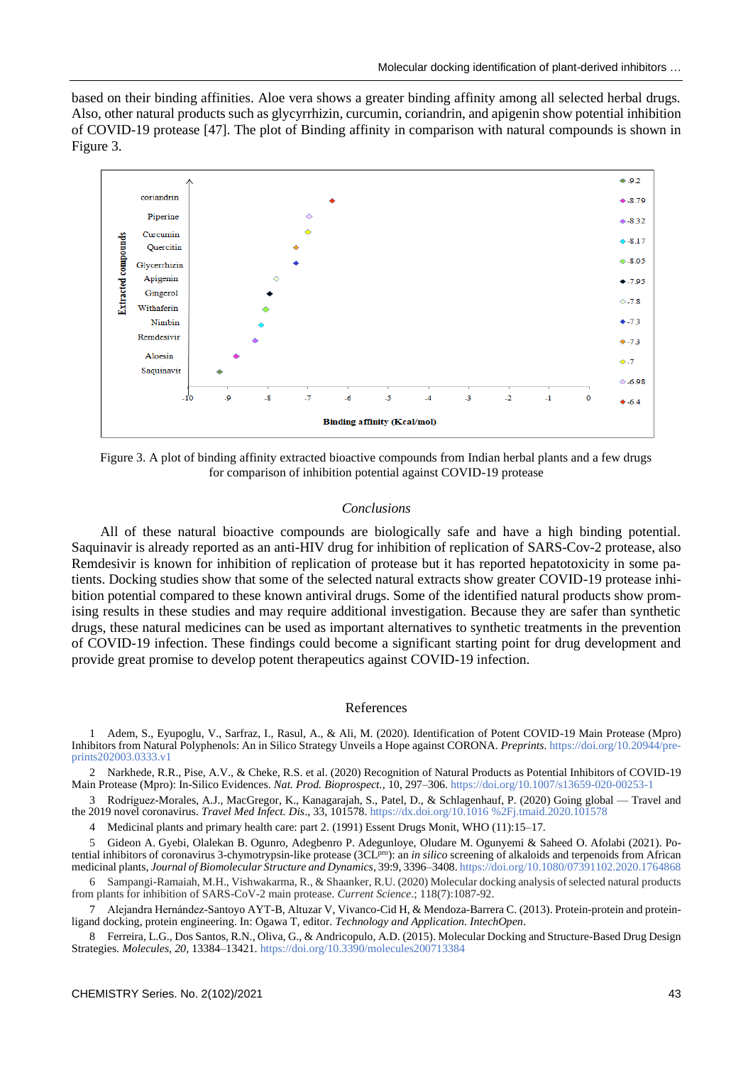based on their binding affinities. Aloe vera shows a greater binding affinity among all selected herbal drugs. Also, other natural products such as glycyrrhizin, curcumin, coriandrin, and apigenin show potential inhibition of COVID-19 protease [47]. The plot of Binding affinity in comparison with natural compounds is shown in Figure 3.



Figure 3. A plot of binding affinity extracted bioactive compounds from Indian herbal plants and a few drugs for comparison of inhibition potential against COVID-19 protease

#### *Conclusions*

All of these natural bioactive compounds are biologically safe and have a high binding potential. Saquinavir is already reported as an anti-HIV drug for inhibition of replication of SARS-Cov-2 protease, also Remdesivir is known for inhibition of replication of protease but it has reported hepatotoxicity in some patients. Docking studies show that some of the selected natural extracts show greater COVID-19 protease inhibition potential compared to these known antiviral drugs. Some of the identified natural products show promising results in these studies and may require additional investigation. Because they are safer than synthetic drugs, these natural medicines can be used as important alternatives to synthetic treatments in the prevention of COVID-19 infection. These findings could become a significant starting point for drug development and provide great promise to develop potent therapeutics against COVID-19 infection.

#### References

1 Adem, S., Eyupoglu, V., Sarfraz, I., Rasul, A., & Ali, M. (2020). Identification of Potent COVID-19 Main Protease (Mpro) Inhibitors from Natural Polyphenols: An in Silico Strategy Unveils a Hope against CORONA. *Preprints*. [https://doi.org/10.20944/pre](https://orcid.org/0000-0002-2801-5955)[prints202003.0333.v1](https://orcid.org/0000-0002-2801-5955)

2 Narkhede, R.R., Pise, A.V., & Cheke, R.S. et al. (2020) Recognition of Natural Products as Potential Inhibitors of COVID-19 Main Protease (Mpro): In-Silico Evidences. *Nat. Prod. Bioprospect.,* 10, 297–306[. https://doi.org/10.1007/s13659-020-00253-1](https://doi.org/10.1007/s13659-020-00253-1)

3 Rodríguez-Morales, A.J., MacGregor, K., Kanagarajah, S., Patel, D., & Schlagenhauf, P. (2020) Going global — Travel and the 2019 novel coronavirus. *Travel Med Infect. Dis*., 33, 101578[. https://dx.doi.org/10.1016](https://dx.doi.org/10.1016%2Fj.tmaid.2020.101578) %2Fj.tmaid.2020.101578

4 Medicinal plants and primary health care: part 2. (1991) Essent Drugs Monit, WHO (11):15–17.

5 Gideon A. Gyebi, Olalekan B. Ogunro, Adegbenro P. Adegunloye, Oludare M. Ogunyemi & Saheed O. Afolabi (2021). Potential inhibitors of coronavirus 3-chymotrypsin-like protease (3CLpro): an *in silico* screening of alkaloids and terpenoids from African medicinal plants, *Journal of Biomolecular Structure and Dynamics*, 39:9, 3396–3408[. https://doi.org/10.1080/07391102.2020.1764868](https://doi.org/10.1080/07391102.2020.1764868)

6 Sampangi-Ramaiah, M.H., Vishwakarma, R., & Shaanker, R.U. (2020) Molecular docking analysis of selected natural products from plants for inhibition of SARS-CoV-2 main protease. *Current Science*.; 118(7):1087-92.

7 Alejandra Hernández-Santoyo AYT-B, Altuzar V, Vivanco-Cid H, & Mendoza-Barrera C. (2013). Protein-protein and proteinligand docking, protein engineering. In: Ogawa T, editor. *Technology and Application. IntechOpen*.

8 Ferreira, L.G., Dos Santos, R.N., Oliva, G., & Andricopulo, A.D. (2015). Molecular Docking and Structure-Based Drug Design Strategies. *Molecules, 20*, 13384–13421[. https://doi.org/10.3390/molecules200713384](https://doi.org/10.3390/molecules200713384)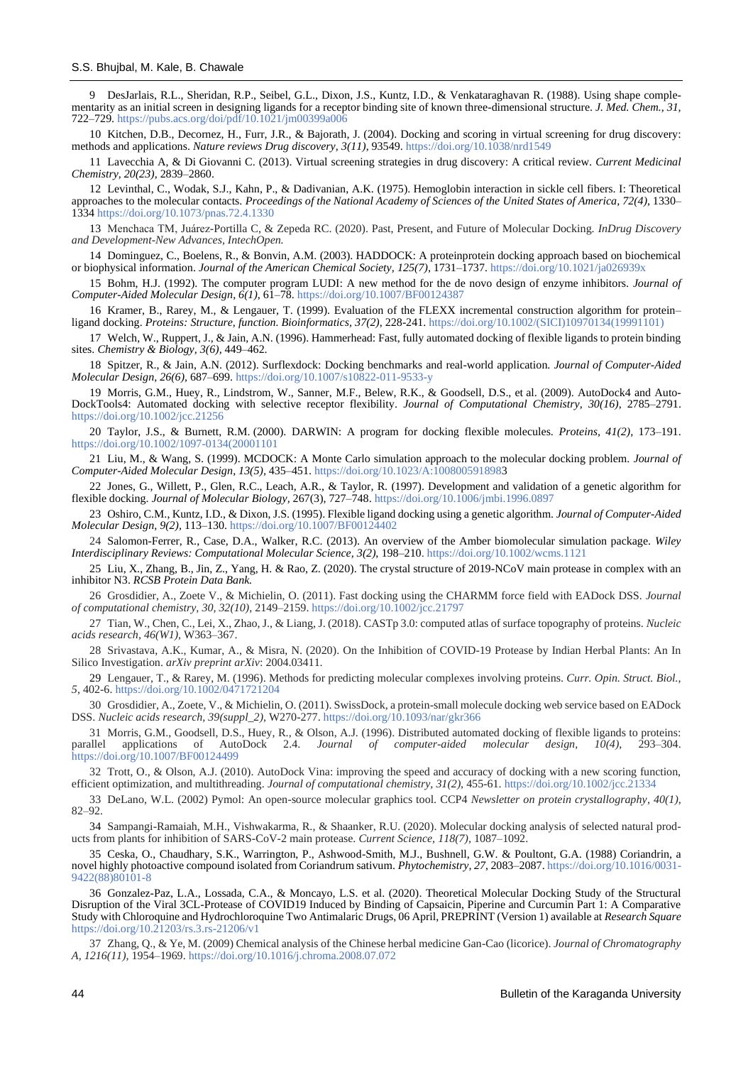9 DesJarlais, R.L., Sheridan, R.P., Seibel, G.L., Dixon, J.S., Kuntz, I.D., & Venkataraghavan R. (1988). Using shape complementarity as an initial screen in designing ligands for a receptor binding site of known three-dimensional structure. *J. Med. Chem., 31,* 722–729[. https://pubs.acs.org/doi/pdf/10.1021/jm00399a006](https://pubs.acs.org/doi/pdf/10.1021/jm00399a006)

10 Kitchen, D.B., Decornez, H., Furr, J.R., & Bajorath, J. (2004). Docking and scoring in virtual screening for drug discovery: methods and applications. *Nature reviews Drug discovery, 3(11)*, 93549.<https://doi.org/10.1038/nrd1549>

11 Lavecchia A, & Di Giovanni C. (2013). Virtual screening strategies in drug discovery: A critical review. *Current Medicinal Chemistry, 20(23)*, 2839–2860.

12 Levinthal, C., Wodak, S.J., Kahn, P., & Dadivanian, A.K. (1975). Hemoglobin interaction in sickle cell fibers. I: Theoretical approaches to the molecular contacts. *Proceedings of the National Academy of Sciences of the United States of America, 72(4)*, 1330– 1334 <https://doi.org/10.1073/pnas.72.4.1330>

13 Menchaca TM, Juárez-Portilla C, & Zepeda RC. (2020). Past, Present, and Future of Molecular Docking. *InDrug Discovery and Development-New Advances, IntechOpen.*

14 Dominguez, C., Boelens, R., & Bonvin, A.M. (2003). HADDOCK: A proteinprotein docking approach based on biochemical or biophysical information. *Journal of the American Chemical Society, 125(7)*, 1731–1737.<https://doi.org/10.1021/ja026939x>

15 Bohm, H.J. (1992). The computer program LUDI: A new method for the de novo design of enzyme inhibitors. *Journal of Computer-Aided Molecular Design, 6(1)*, 61–78.<https://doi.org/10.1007/BF00124387>

16 Kramer, B., Rarey, M., & Lengauer, T. (1999). Evaluation of the FLEXX incremental construction algorithm for protein– ligand docking. *Proteins: Structure, function. Bioinformatics, 37(2)*, 228-241. [https://doi.org/10.1002/\(SICI\)10970134\(19991101\)](https://doi.org/10.1002/(SICI)10970134(19991101))

17 Welch, W., Ruppert, J., & Jain, A.N. (1996). Hammerhead: Fast, fully automated docking of flexible ligands to protein binding sites. *Chemistry & Biology, 3(6),* 449–462.

18 Spitzer, R., & Jain, A.N. (2012). Surflexdock: Docking benchmarks and real-world application. *Journal of Computer-Aided Molecular Design, 26(6),* 687–699[. https://doi.org/10.1007/s10822-011-9533-y](https://doi.org/10.1007/s10822-011-9533-y)

19 Morris, G.M., Huey, R., Lindstrom, W., Sanner, M.F., Belew, R.K., & Goodsell, D.S., et al. (2009). AutoDock4 and Auto-DockTools4: Automated docking with selective receptor flexibility. *Journal of Computational Chemistry, 30(16)*, 2785–2791. <https://doi.org/10.1002/jcc.21256>

20 Taylor, J.S., & Burnett, R.M. (2000). DARWIN: A program for docking flexible molecules. *Proteins, 41(2),* 173–191. [https://doi.org/10.1002/1097-0134\(20001101](https://doi.org/10.1002/1097-0134(20001101)

21 Liu, M., & Wang, S. (1999). MCDOCK: A Monte Carlo simulation approach to the molecular docking problem. *Journal of Computer-Aided Molecular Design, 13(5),* 435–451[. https://doi.org/10.1023/A:1008005918983](https://doi.org/10.1023/A:1008005918983)

22 Jones, G., Willett, P., Glen, R.C., Leach, A.R., & Taylor, R. (1997). Development and validation of a genetic algorithm for flexible docking. *Journal of Molecular Biology,* 267(3), 727–748[. https://doi.org/10.1006/jmbi.1996.0897](https://doi.org/10.1006/jmbi.1996.0897)

23 Oshiro, C.M., Kuntz, I.D., & Dixon, J.S. (1995). Flexible ligand docking using a genetic algorithm. *Journal of Computer-Aided Molecular Design, 9(2),* 113–130.<https://doi.org/10.1007/BF00124402>

24 Salomon-Ferrer, R., Case, D.A., Walker, R.C. (2013). An overview of the Amber biomolecular simulation package. *Wiley Interdisciplinary Reviews: Computational Molecular Science, 3(2)*, 198–210. <https://doi.org/10.1002/wcms.1121>

25 Liu, X., Zhang, B., Jin, Z., Yang, H. & Rao, Z. (2020). The crystal structure of 2019-NCoV main protease in complex with an inhibitor N3. *RCSB Protein Data Bank.*

26 Grosdidier, A., Zoete V., & Michielin, O. (2011). Fast docking using the CHARMM force field with EADock DSS. *Journal of computational chemistry, 30, 32(10)*, 2149–2159[. https://doi.org/10.1002/jcc.21797](https://doi.org/10.1002/jcc.21797)

27 Tian, W., Chen, C., Lei, X., Zhao, J., & Liang, J. (2018). CASTp 3.0: computed atlas of surface topography of proteins. *Nucleic acids research, 46(W1),* W363–367.

28 Srivastava, A.K., Kumar, A., & Misra, N. (2020). On the Inhibition of COVID-19 Protease by Indian Herbal Plants: An In Silico Investigation. *arXiv preprint arXiv*: 2004.03411.

29 Lengauer, T., & Rarey, M. (1996). Methods for predicting molecular complexes involving proteins. *Curr. Opin. Struct. Biol., 5*, 402-6[. https://doi.org/10.1002/0471721204](https://doi.org/10.1002/0471721204)

30 Grosdidier, A., Zoete, V., & Michielin, O. (2011). SwissDock, a protein-small molecule docking web service based on EADock DSS. *Nucleic acids research, 39(suppl\_2),* W270-277[. https://doi.org/10.1093/nar/gkr366](https://doi.org/10.1093/nar/gkr366)

31 Morris, G.M., Goodsell, D.S., Huey, R., & Olson, A.J. (1996). Distributed automated docking of flexible ligands to proteins:<br>parallel applications of AutoDock 2.4. Journal of computer-aided molecular design, 10(4), 293– *Journal of computer-aided molecular design,*  $10(4)$ *,* <https://doi.org/10.1007/BF00124499>

32 Trott, O., & Olson, A.J. (2010). AutoDock Vina: improving the speed and accuracy of docking with a new scoring function, efficient optimization, and multithreading. *Journal of computational chemistry, 31(2)*, 455-61.<https://doi.org/10.1002/jcc.21334>

33 DeLano, W.L. (2002) Pymol: An open-source molecular graphics tool. CCP4 *Newsletter on protein crystallography, 40(1)*, 82–92.

34 Sampangi-Ramaiah, M.H., Vishwakarma, R., & Shaanker, R.U. (2020). Molecular docking analysis of selected natural products from plants for inhibition of SARS-CoV-2 main protease. *Current Science, 118(7),* 1087–1092.

35 Ceska, O., Chaudhary, S.K., Warrington, P., Ashwood-Smith, M.J., Bushnell, G.W. & Poultont, G.A. (1988) Coriandrin, a novel highly photoactive compound isolated from Coriandrum sativum. *Phytochemistry, 27*, 2083–2087[. https://doi.org/10.1016/0031-](https://doi.org/10.1016/0031-9422(88)80101-8) [9422\(88\)80101-8](https://doi.org/10.1016/0031-9422(88)80101-8)

36 Gonzalez-Paz, L.A., Lossada, C.A., & Moncayo, L.S. et al. (2020). Theoretical Molecular Docking Study of the Structural Disruption of the Viral 3CL-Protease of COVID19 Induced by Binding of Capsaicin, Piperine and Curcumin Part 1: A Comparative Study with Chloroquine and Hydrochloroquine Two Antimalaric Drugs, 06 April, PREPRINT (Version 1) available at *Research Square* <https://doi.org/10.21203/rs.3.rs-21206/v1>

37 Zhang, Q., & Ye, M. (2009) Chemical analysis of the Chinese herbal medicine Gan-Cao (licorice). *Journal of Chromatography A, 1216(11),* 1954–1969.<https://doi.org/10.1016/j.chroma.2008.07.072>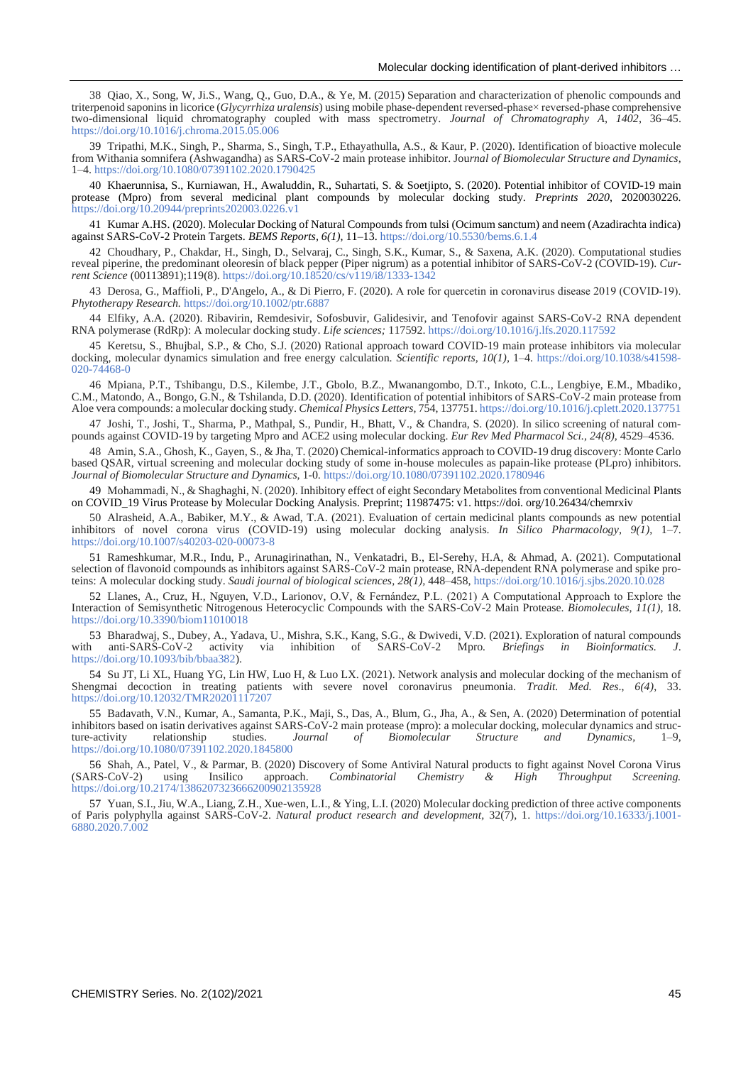38 Qiao, X., Song, W, Ji.S., Wang, Q., Guo, D.A., & Ye, M. (2015) Separation and characterization of phenolic compounds and triterpenoid saponins in licorice (*Glycyrrhiza uralensis*) using mobile phase-dependent reversed-phase× reversed-phase comprehensive two-dimensional liquid chromatography coupled with mass spectrometry. *Journal of Chromatography A, 1402,* 36–45. <https://doi.org/10.1016/j.chroma.2015.05.006>

39 Tripathi, M.K., Singh, P., Sharma, S., Singh, T.P., Ethayathulla, A.S., & Kaur, P. (2020). Identification of bioactive molecule from Withania somnifera (Ashwagandha) as SARS-CoV-2 main protease inhibitor. Jou*rnal of Biomolecular Structure and Dynamics,*  1–4[. https://doi.org/10.1080/07391102.2020.1790425](https://doi.org/10.1080/07391102.2020.1790425)

40 Khaerunnisa, S., Kurniawan, H., Awaluddin, R., Suhartati, S. & Soetjipto, S. (2020). Potential inhibitor of COVID-19 main protease (Mpro) from several medicinal plant compounds by molecular docking study. *Preprints 2020*, 2020030226. <https://doi.org/10.20944/preprints202003.0226.v1>

41 Kumar A.HS. (2020). Molecular Docking of Natural Compounds from tulsi (Ocimum sanctum) and neem (Azadirachta indica) against SARS-CoV-2 Protein Targets. *BEMS Reports, 6(1),* 11–13[. https://doi.org/10.5530/bems.6.1.4](https://doi.org/10.5530/bems.6.1.4) 

42 Choudhary, P., Chakdar, H., Singh, D., Selvaraj, C., Singh, S.K., Kumar, S., & Saxena, A.K. (2020). Computational studies reveal piperine, the predominant oleoresin of black pepper (Piper nigrum) as a potential inhibitor of SARS-CoV-2 (COVID-19). *Current Science* (00113891);119(8).<https://doi.org/>[10.18520/cs/v119/i8/1333-1342](http://dx.doi.org/10.18520/cs/v119/i8/1333-1342)

43 Derosa, G., Maffioli, P., D'Angelo, A., & Di Pierro, F. (2020). A role for quercetin in coronavirus disease 2019 (COVID‐19). *Phytotherapy Research.* <https://doi.org/10.1002/ptr.6887>

44 Elfiky, A.A. (2020). Ribavirin, Remdesivir, Sofosbuvir, Galidesivir, and Tenofovir against SARS-CoV-2 RNA dependent RNA polymerase (RdRp): A molecular docking study. *Life sciences;* 117592[. https://doi.org/10.1016/j.lfs.2020.117592](https://doi.org/10.1016/j.lfs.2020.117592)

45 Keretsu, S., Bhujbal, S.P., & Cho, S.J. (2020) Rational approach toward COVID-19 main protease inhibitors via molecular docking, molecular dynamics simulation and free energy calculation. *Scientific reports, 10(1),* 1–4. [https://doi.org/10.1038/s41598-](https://doi.org/10.1038/s41598-020-74468-0) [020-74468-0](https://doi.org/10.1038/s41598-020-74468-0)

46 Mpiana, P.T., Tshibangu, D.S., Kilembe, J.T., Gbolo, B.Z., Mwanangombo, D.T., Inkoto, C.L., Lengbiye, E.M., Mbadiko, C.M., Matondo, A., Bongo, G.N., & Tshilanda, D.D. (2020). Identification of potential inhibitors of SARS-CoV-2 main protease from Aloe vera compounds: a molecular docking study. *Chemical Physics Letters,* 754, 137751[. https://doi.org/10.1016/j.cplett.2020.137751](https://doi.org/10.1016/j.cplett.2020.137751)

47 Joshi, T., Joshi, T., Sharma, P., Mathpal, S., Pundir, H., Bhatt, V., & Chandra, S. (2020). In silico screening of natural compounds against COVID-19 by targeting Mpro and ACE2 using molecular docking. *Eur Rev Med Pharmacol Sci., 24(8),* 4529–4536.

48 Amin, S.A., Ghosh, K., Gayen, S., & Jha, T. (2020) Chemical-informatics approach to COVID-19 drug discovery: Monte Carlo based QSAR, virtual screening and molecular docking study of some in-house molecules as papain-like protease (PLpro) inhibitors. *Journal of Biomolecular Structure and Dynamics,* 1-0.<https://doi.org/10.1080/07391102.2020.1780946>

49 Mohammadi, N., & Shaghaghi, N. (2020). Inhibitory effect of eight Secondary Metabolites from conventional Medicinal Plants on COVID\_19 Virus Protease by Molecular Docking Analysis. Preprint; 11987475: v1. https://doi. org/10.26434/chemrxiv

50 Alrasheid, A.A., Babiker, M.Y., & Awad, T.A. (2021). Evaluation of certain medicinal plants compounds as new potential inhibitors of novel corona virus (COVID-19) using molecular docking analysis. *In Silico Pharmacology, 9(1)*, 1–7. <https://doi.org/10.1007/s40203-020-00073-8>

51 Rameshkumar, M.R., Indu, P., Arunagirinathan, N., Venkatadri, B., El-Serehy, H.A, & Ahmad, A. (2021). Computational selection of flavonoid compounds as inhibitors against SARS-CoV-2 main protease, RNA-dependent RNA polymerase and spike proteins: A molecular docking study. *Saudi journal of biological sciences, 28(1),* 448–458[, https://doi.org/10.1016/j.sjbs.2020.10.028](https://doi.org/10.1016/j.sjbs.2020.10.028)

52 Llanes, A., Cruz, H., Nguyen, V.D., Larionov, O.V, & Fernández, P.L. (2021) A Computational Approach to Explore the Interaction of Semisynthetic Nitrogenous Heterocyclic Compounds with the SARS-CoV-2 Main Protease. *Biomolecules, 11(1)*, 18. <https://doi.org/10.3390/biom11010018>

53 Bharadwaj, S., Dubey, A., Yadava, U., Mishra, S.K., Kang, S.G., & Dwivedi, V.D. (2021). Exploration of natural compounds with anti-SARS-CoV-2 activity via inhibition of SARS-CoV-2 Mpro. *Briefings in Bioinformatics. J.* via inhibition of SARS-CoV-2 Mpro. *Briefings in Bioinformatics. J.* [https://doi.org/10.1093/bib/bbaa382\)](https://doi.org/10.1093/bib/bbaa382).

54 Su JT, Li XL, Huang YG, Lin HW, Luo H, & Luo LX. (2021). Network analysis and molecular docking of the mechanism of Shengmai decoction in treating patients with severe novel coronavirus pneumonia. *Tradit. Med. Res*., *6(4)*, 3[3.](doi:%2010.12032/TMR20201117207) [https://doi.org/10.12032/TMR20201117207](doi:%2010.12032/TMR20201117207)

55 Badavath, V.N., Kumar, A., Samanta, P.K., Maji, S., Das, A., Blum, G., Jha, A., & Sen, A. (2020) Determination of potential inhibitors based on isatin derivatives against SARS-CoV-2 main protease (mpro): a molecular docking, molecular dynamics and structure-activity relationship studies. *Journal of Biomolecular Structure and Dynamics,* 1–9, <https://doi.org/10.1080/07391102.2020.1845800>

56 Shah, A., Patel, V., & Parmar, B. (2020) Discovery of Some Antiviral Natural products to fight against Novel Corona Virus<br>RS-CoV-2) using Insilico approach. Combinatorial Chemistry & High Throughput Screening. (SARS-CoV-2) using Insilico approach. *Combinatorial Chemistry & High Throughput Screening.* <https://doi.org/10.2174/1386207323666200902135928>

57 Yuan, S.I., Jiu, W.A., Liang, Z.H., Xue-wen, L.I., & Ying, L.I. (2020) Molecular docking prediction of three active components of Paris polyphylla against SARS-CoV-2. *Natural product research and development,* 32(7), 1. [https://doi.org/10.16333/j.1001-](https://doi.org/10.16333/j.1001-6880.2020.7.002) [6880.2020.7.002](https://doi.org/10.16333/j.1001-6880.2020.7.002)